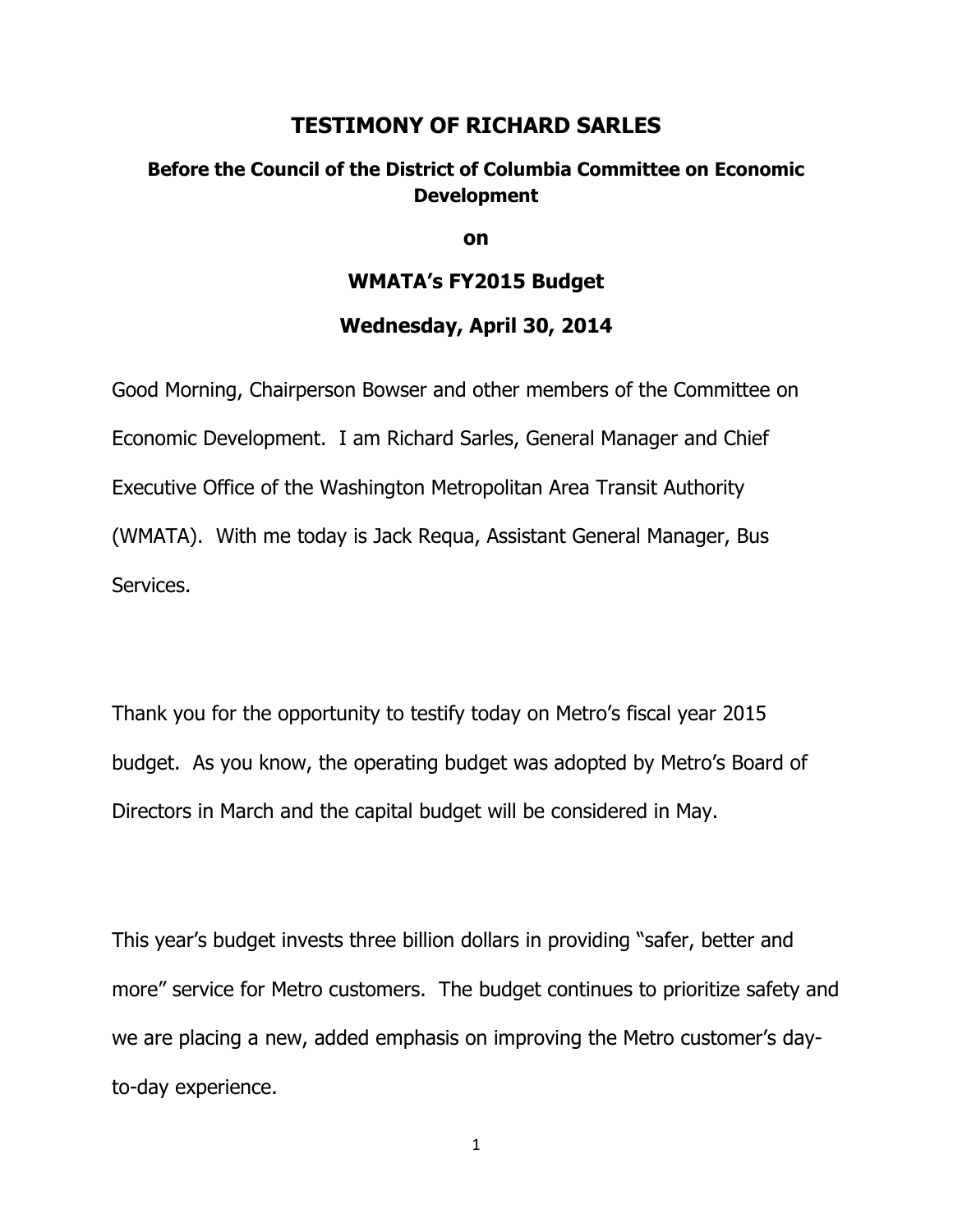## **TESTIMONY OF RICHARD SARLES**

### **Before the Council of the District of Columbia Committee on Economic Development**

**on**

#### **WMATA's FY2015 Budget**

#### **Wednesday, April 30, 2014**

Good Morning, Chairperson Bowser and other members of the Committee on Economic Development. I am Richard Sarles, General Manager and Chief Executive Office of the Washington Metropolitan Area Transit Authority (WMATA). With me today is Jack Requa, Assistant General Manager, Bus Services.

Thank you for the opportunity to testify today on Metro's fiscal year 2015 budget. As you know, the operating budget was adopted by Metro's Board of Directors in March and the capital budget will be considered in May.

This year's budget invests three billion dollars in providing "safer, better and more" service for Metro customers. The budget continues to prioritize safety and we are placing a new, added emphasis on improving the Metro customer's dayto-day experience.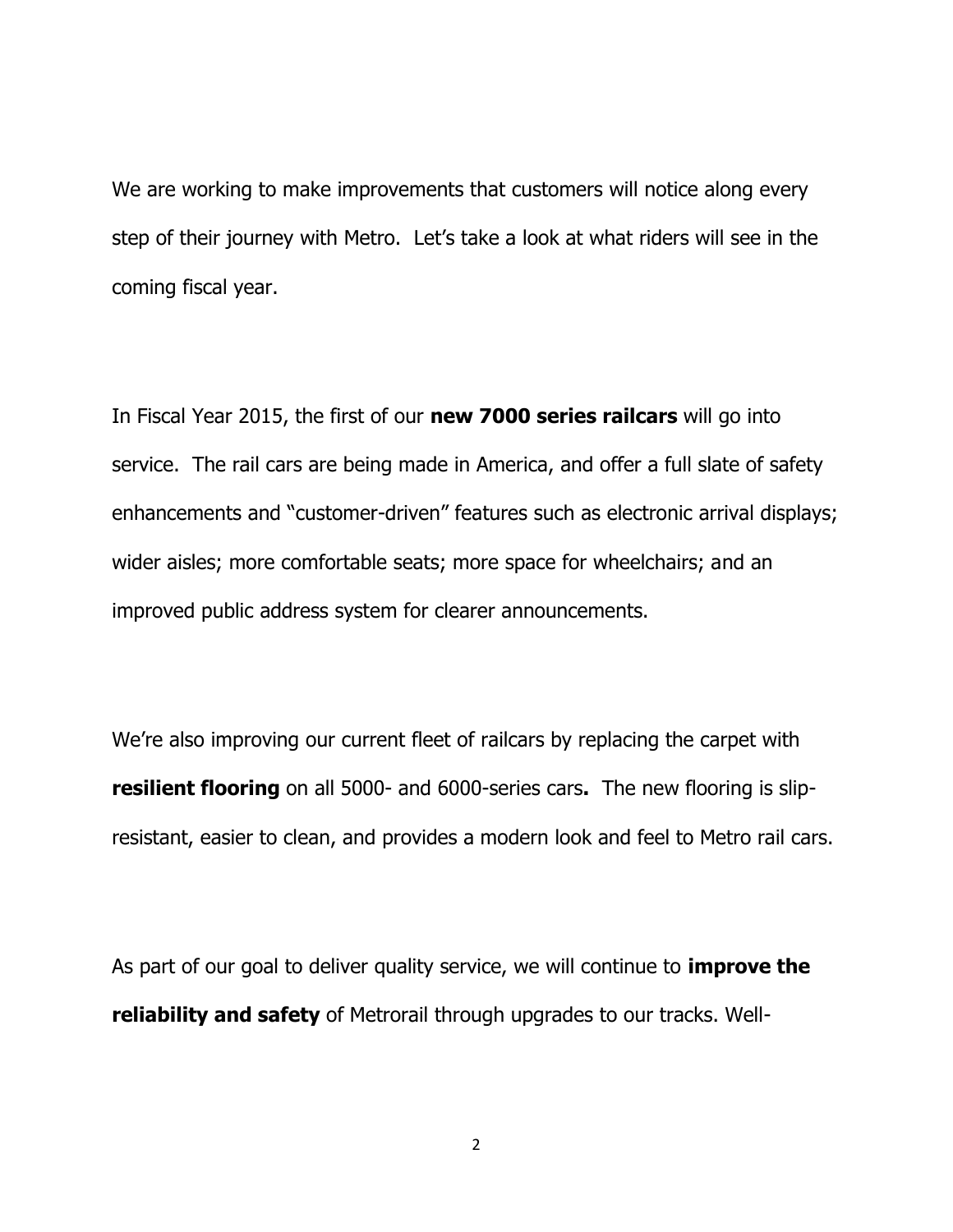We are working to make improvements that customers will notice along every step of their journey with Metro. Let's take a look at what riders will see in the coming fiscal year.

In Fiscal Year 2015, the first of our **new 7000 series railcars** will go into service. The rail cars are being made in America, and offer a full slate of safety enhancements and "customer-driven" features such as electronic arrival displays; wider aisles; more comfortable seats; more space for wheelchairs; and an improved public address system for clearer announcements.

We're also improving our current fleet of railcars by replacing the carpet with **resilient flooring** on all 5000- and 6000-series cars**.** The new flooring is slipresistant, easier to clean, and provides a modern look and feel to Metro rail cars.

As part of our goal to deliver quality service, we will continue to **improve the reliability and safety** of Metrorail through upgrades to our tracks. Well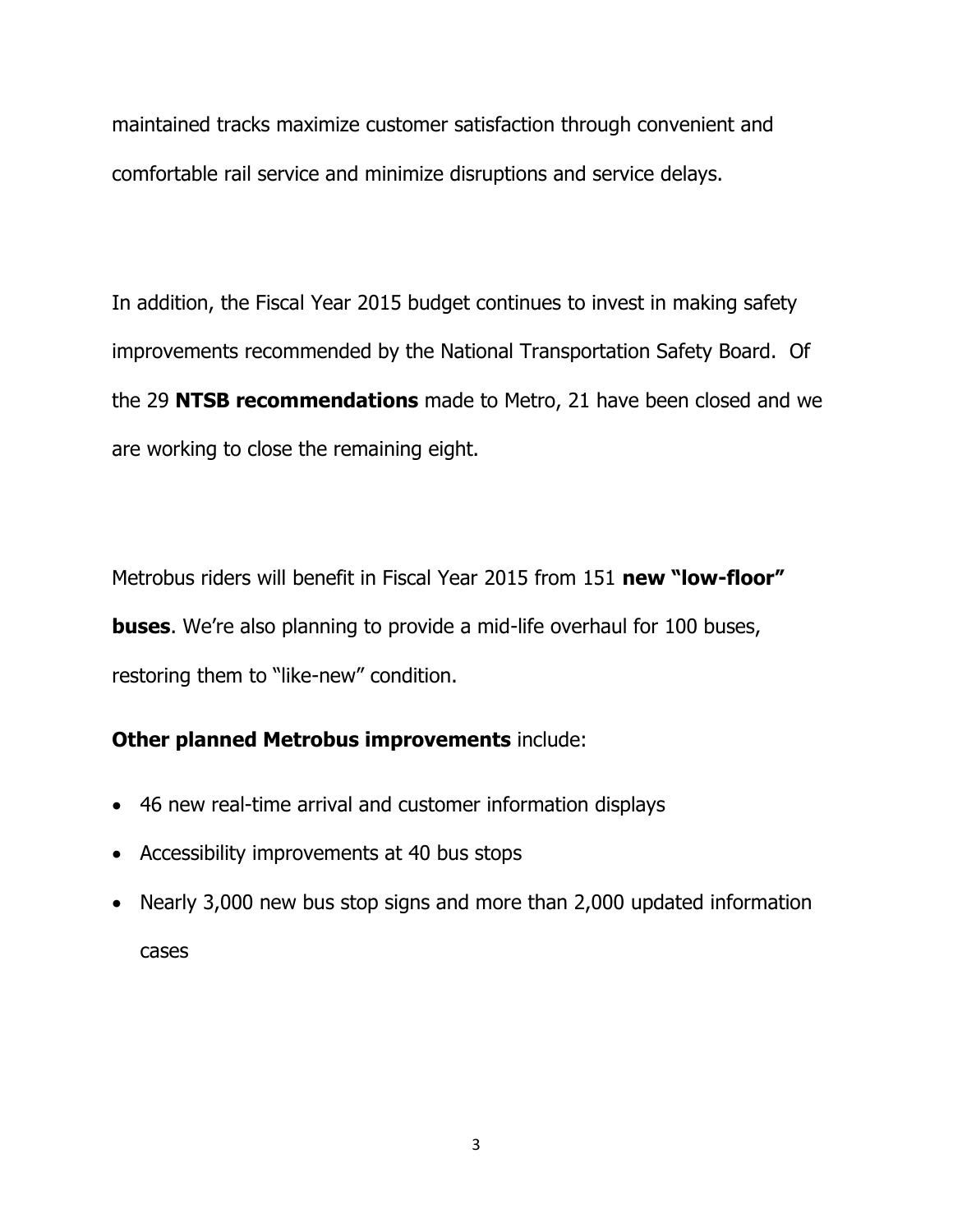maintained tracks maximize customer satisfaction through convenient and comfortable rail service and minimize disruptions and service delays.

In addition, the Fiscal Year 2015 budget continues to invest in making safety improvements recommended by the National Transportation Safety Board. Of the 29 **NTSB recommendations** made to Metro, 21 have been closed and we are working to close the remaining eight.

Metrobus riders will benefit in Fiscal Year 2015 from 151 **new "low-floor" buses**. We're also planning to provide a mid-life overhaul for 100 buses, restoring them to "like-new" condition.

# **Other planned Metrobus improvements** include:

- 46 new real-time arrival and customer information displays
- Accessibility improvements at 40 bus stops
- Nearly 3,000 new bus stop signs and more than 2,000 updated information cases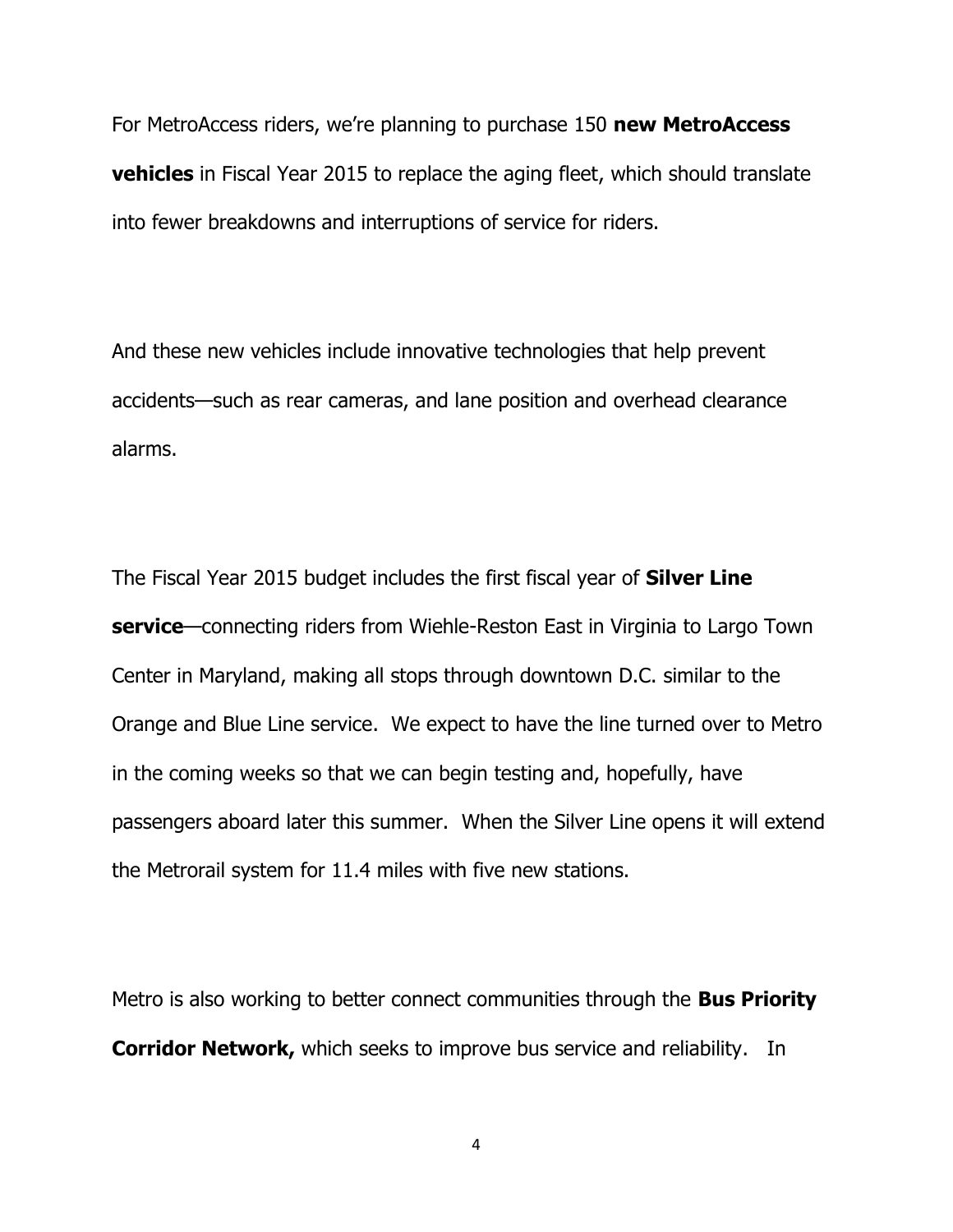For MetroAccess riders, we're planning to purchase 150 **new MetroAccess vehicles** in Fiscal Year 2015 to replace the aging fleet, which should translate into fewer breakdowns and interruptions of service for riders.

And these new vehicles include innovative technologies that help prevent accidents—such as rear cameras, and lane position and overhead clearance alarms.

The Fiscal Year 2015 budget includes the first fiscal year of **Silver Line service**—connecting riders from Wiehle-Reston East in Virginia to Largo Town Center in Maryland, making all stops through downtown D.C. similar to the Orange and Blue Line service. We expect to have the line turned over to Metro in the coming weeks so that we can begin testing and, hopefully, have passengers aboard later this summer. When the Silver Line opens it will extend the Metrorail system for 11.4 miles with five new stations.

Metro is also working to better connect communities through the **Bus Priority Corridor Network,** which seeks to improve bus service and reliability. In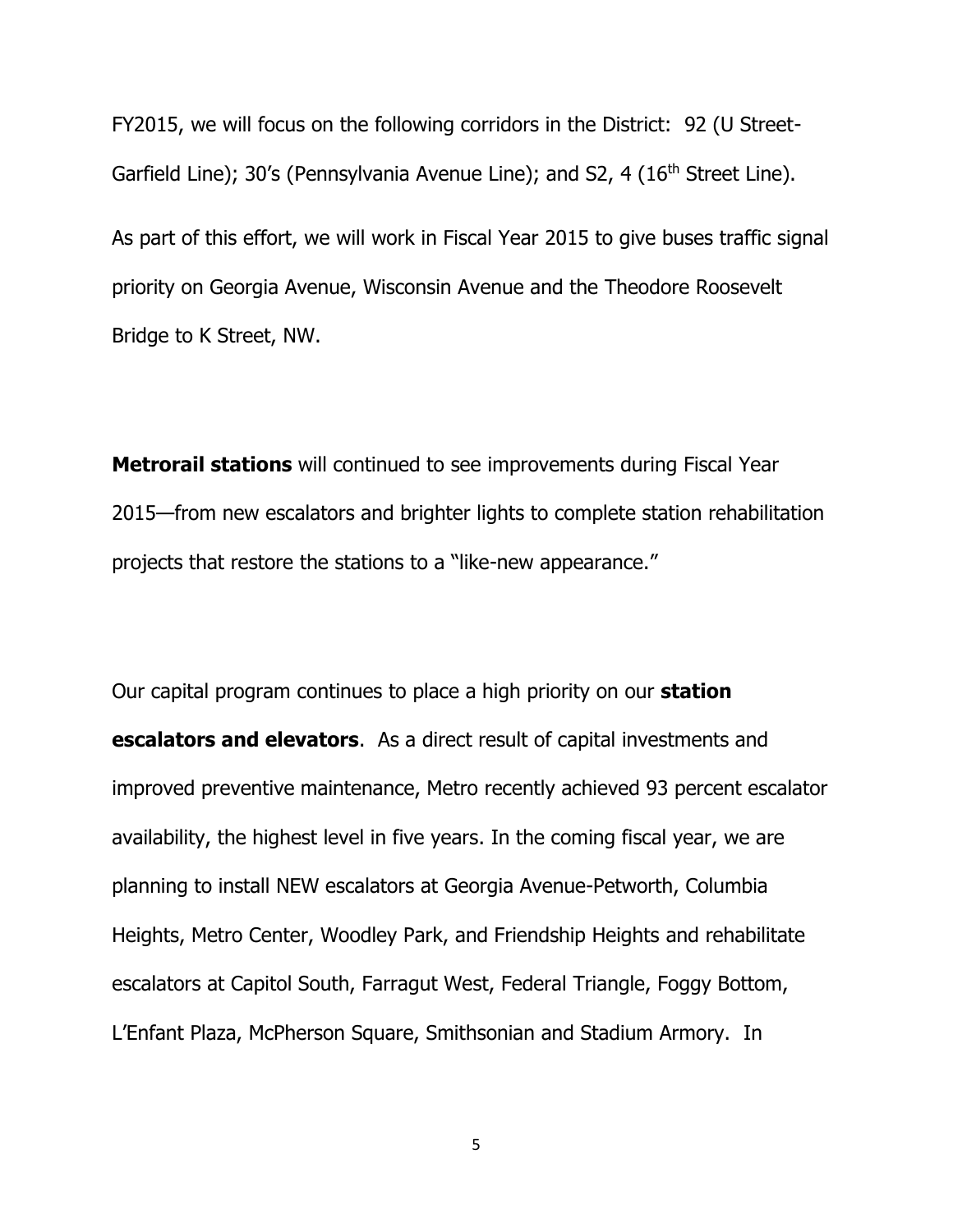FY2015, we will focus on the following corridors in the District: 92 (U Street-Garfield Line); 30's (Pennsylvania Avenue Line); and S2, 4 (16<sup>th</sup> Street Line).

As part of this effort, we will work in Fiscal Year 2015 to give buses traffic signal priority on Georgia Avenue, Wisconsin Avenue and the Theodore Roosevelt Bridge to K Street, NW.

**Metrorail stations** will continued to see improvements during Fiscal Year 2015—from new escalators and brighter lights to complete station rehabilitation projects that restore the stations to a "like-new appearance."

Our capital program continues to place a high priority on our **station escalators and elevators**. As a direct result of capital investments and improved preventive maintenance, Metro recently achieved 93 percent escalator availability, the highest level in five years. In the coming fiscal year, we are planning to install NEW escalators at Georgia Avenue-Petworth, Columbia Heights, Metro Center, Woodley Park, and Friendship Heights and rehabilitate escalators at Capitol South, Farragut West, Federal Triangle, Foggy Bottom, L'Enfant Plaza, McPherson Square, Smithsonian and Stadium Armory. In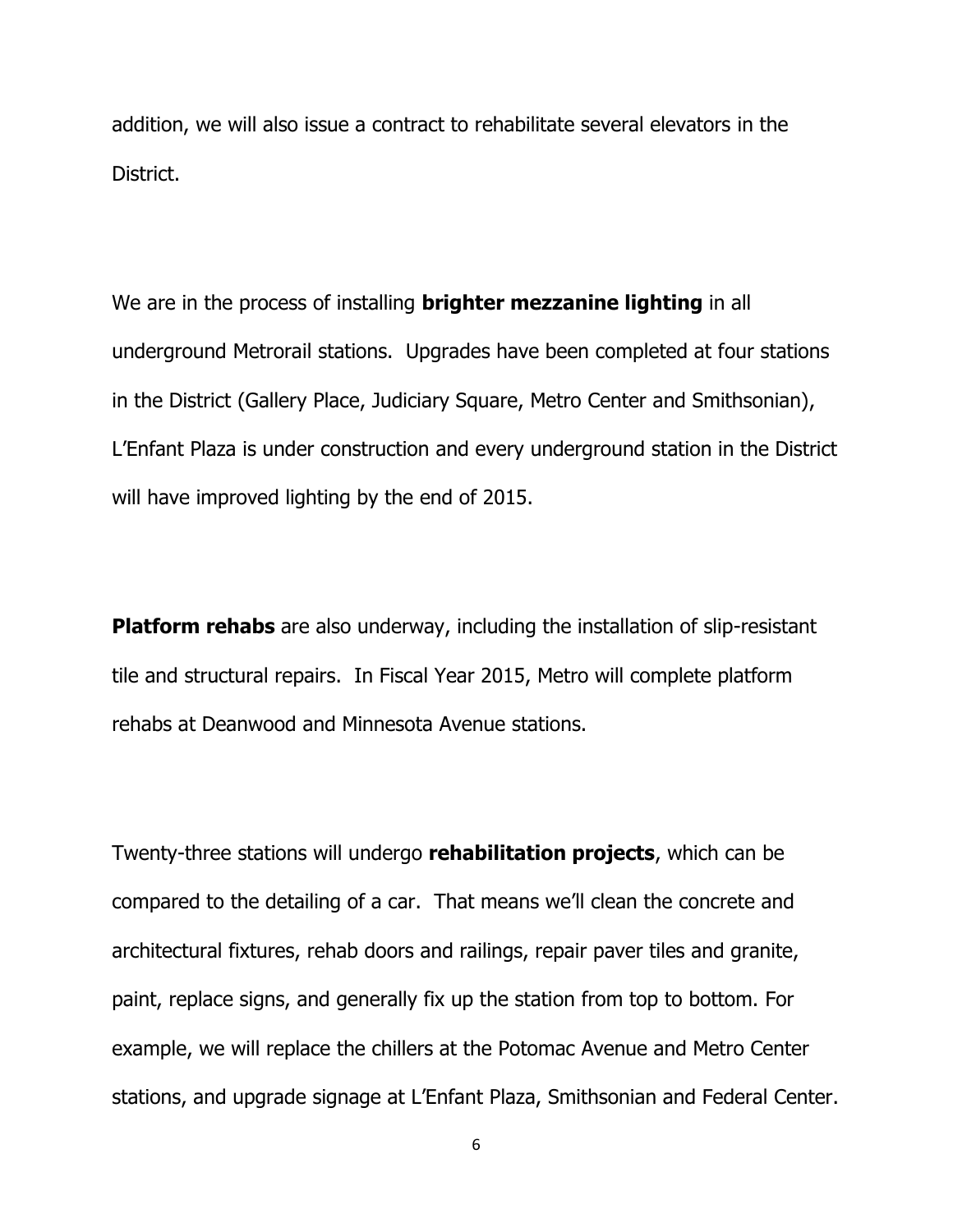addition, we will also issue a contract to rehabilitate several elevators in the District.

We are in the process of installing **brighter mezzanine lighting** in all underground Metrorail stations. Upgrades have been completed at four stations in the District (Gallery Place, Judiciary Square, Metro Center and Smithsonian), L'Enfant Plaza is under construction and every underground station in the District will have improved lighting by the end of 2015.

**Platform rehabs** are also underway, including the installation of slip-resistant tile and structural repairs. In Fiscal Year 2015, Metro will complete platform rehabs at Deanwood and Minnesota Avenue stations.

Twenty-three stations will undergo **rehabilitation projects**, which can be compared to the detailing of a car. That means we'll clean the concrete and architectural fixtures, rehab doors and railings, repair paver tiles and granite, paint, replace signs, and generally fix up the station from top to bottom. For example, we will replace the chillers at the Potomac Avenue and Metro Center stations, and upgrade signage at L'Enfant Plaza, Smithsonian and Federal Center.

6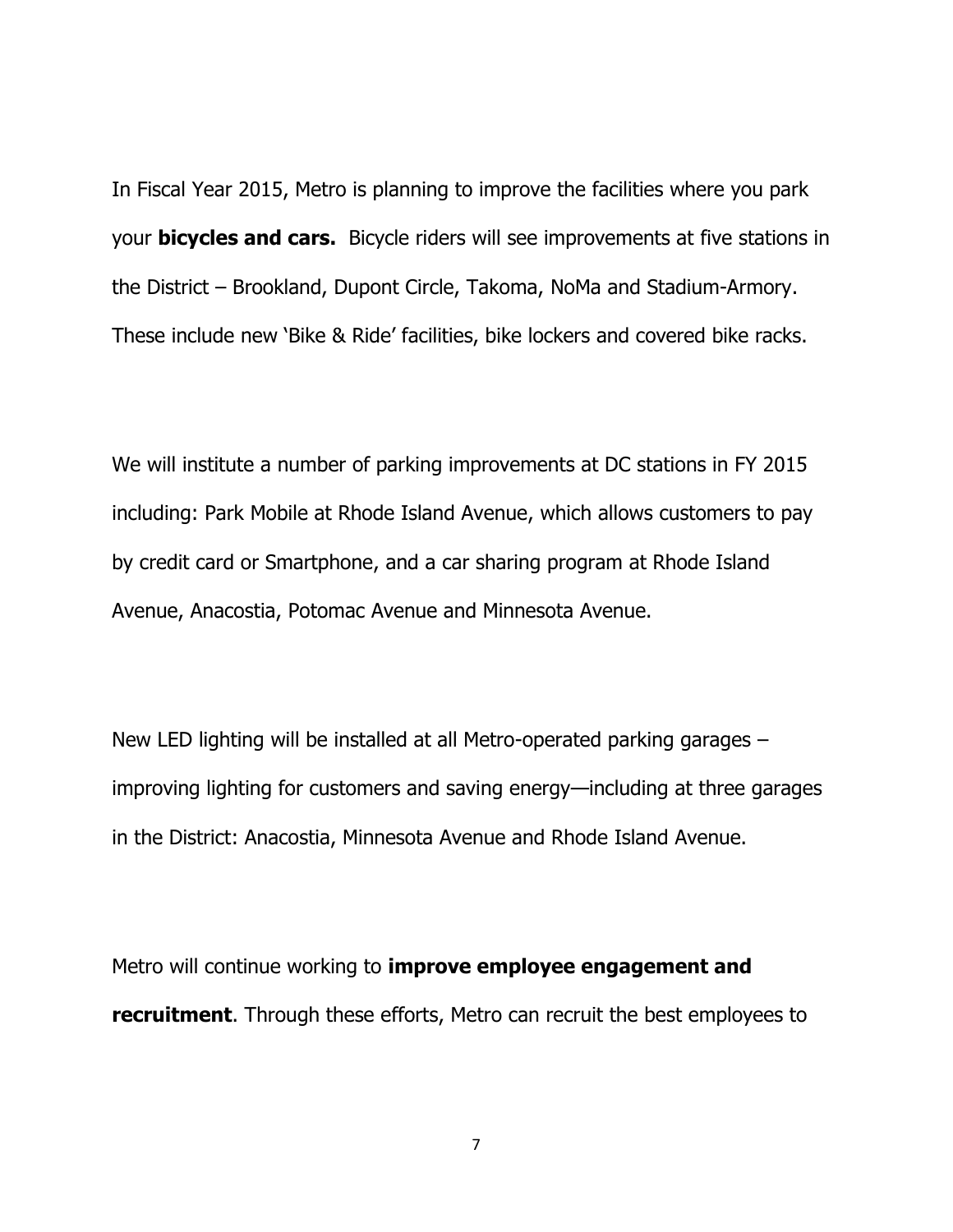In Fiscal Year 2015, Metro is planning to improve the facilities where you park your **bicycles and cars.** Bicycle riders will see improvements at five stations in the District – Brookland, Dupont Circle, Takoma, NoMa and Stadium-Armory. These include new 'Bike & Ride' facilities, bike lockers and covered bike racks.

We will institute a number of parking improvements at DC stations in FY 2015 including: Park Mobile at Rhode Island Avenue, which allows customers to pay by credit card or Smartphone, and a car sharing program at Rhode Island Avenue, Anacostia, Potomac Avenue and Minnesota Avenue.

New LED lighting will be installed at all Metro-operated parking garages – improving lighting for customers and saving energy—including at three garages in the District: Anacostia, Minnesota Avenue and Rhode Island Avenue.

Metro will continue working to **improve employee engagement and recruitment**. Through these efforts, Metro can recruit the best employees to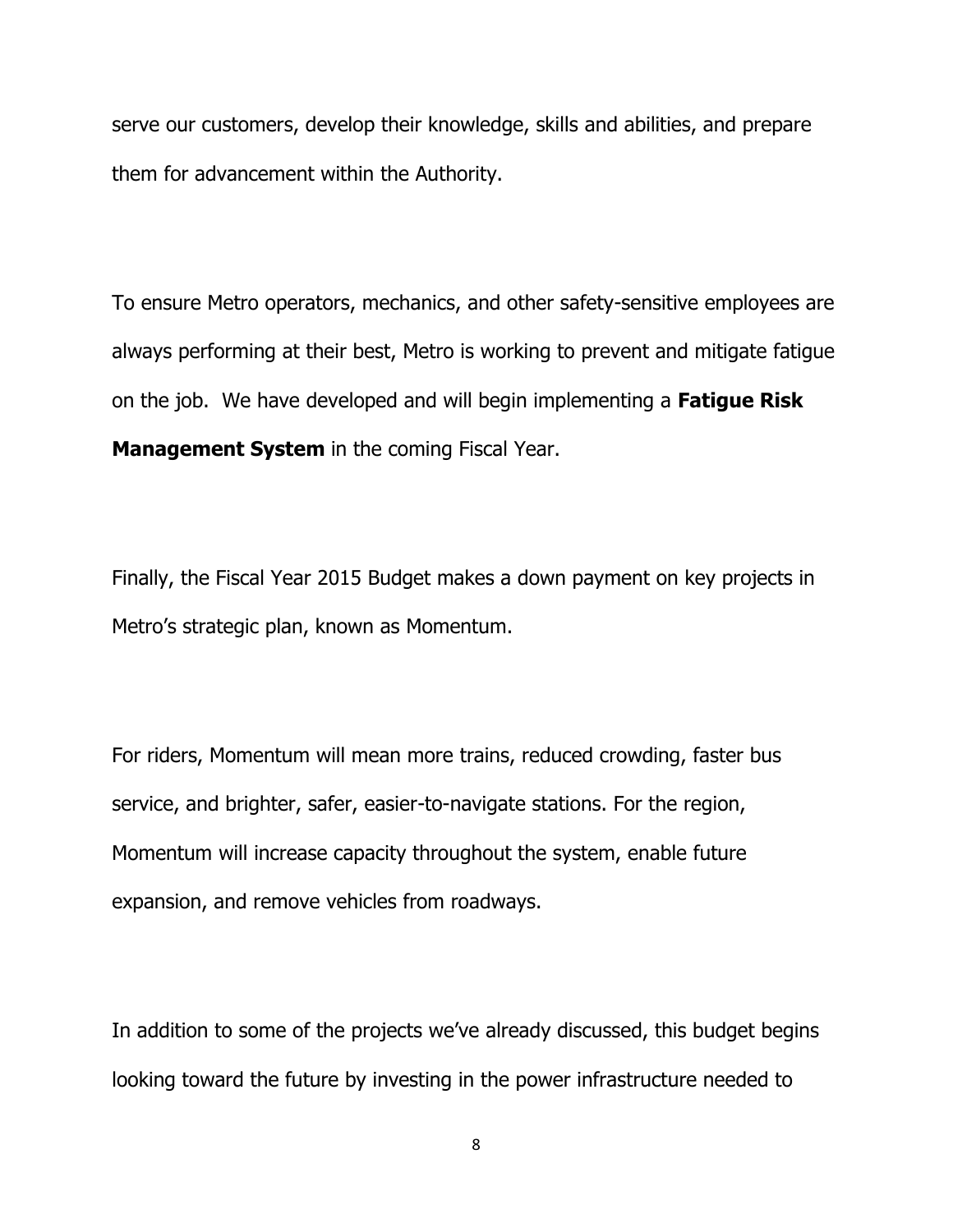serve our customers, develop their knowledge, skills and abilities, and prepare them for advancement within the Authority.

To ensure Metro operators, mechanics, and other safety-sensitive employees are always performing at their best, Metro is working to prevent and mitigate fatigue on the job. We have developed and will begin implementing a **Fatigue Risk Management System** in the coming Fiscal Year.

Finally, the Fiscal Year 2015 Budget makes a down payment on key projects in Metro's strategic plan, known as Momentum.

For riders, Momentum will mean more trains, reduced crowding, faster bus service, and brighter, safer, easier-to-navigate stations. For the region, Momentum will increase capacity throughout the system, enable future expansion, and remove vehicles from roadways.

In addition to some of the projects we've already discussed, this budget begins looking toward the future by investing in the power infrastructure needed to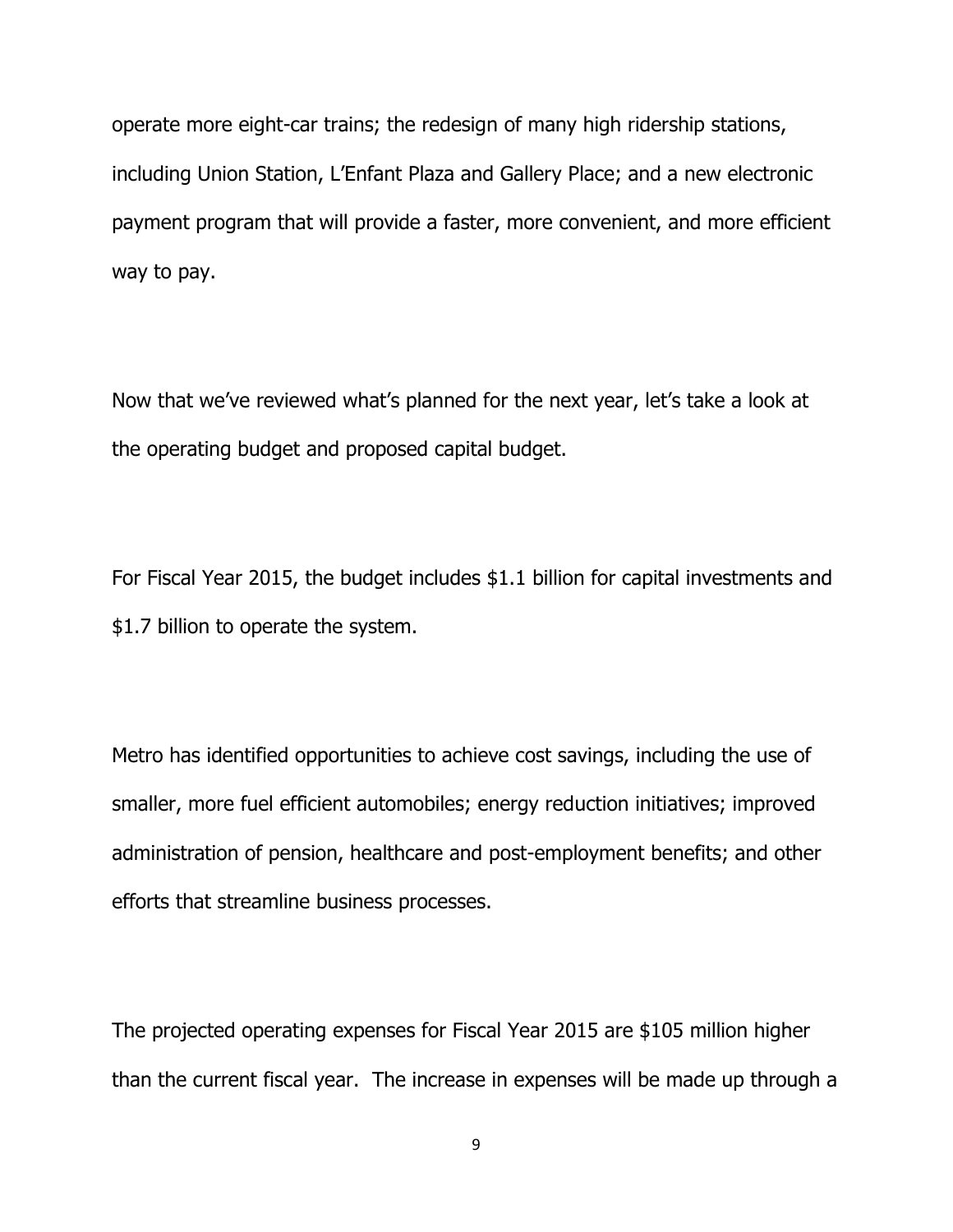operate more eight-car trains; the redesign of many high ridership stations, including Union Station, L'Enfant Plaza and Gallery Place; and a new electronic payment program that will provide a faster, more convenient, and more efficient way to pay.

Now that we've reviewed what's planned for the next year, let's take a look at the operating budget and proposed capital budget.

For Fiscal Year 2015, the budget includes \$1.1 billion for capital investments and \$1.7 billion to operate the system.

Metro has identified opportunities to achieve cost savings, including the use of smaller, more fuel efficient automobiles; energy reduction initiatives; improved administration of pension, healthcare and post-employment benefits; and other efforts that streamline business processes.

The projected operating expenses for Fiscal Year 2015 are \$105 million higher than the current fiscal year. The increase in expenses will be made up through a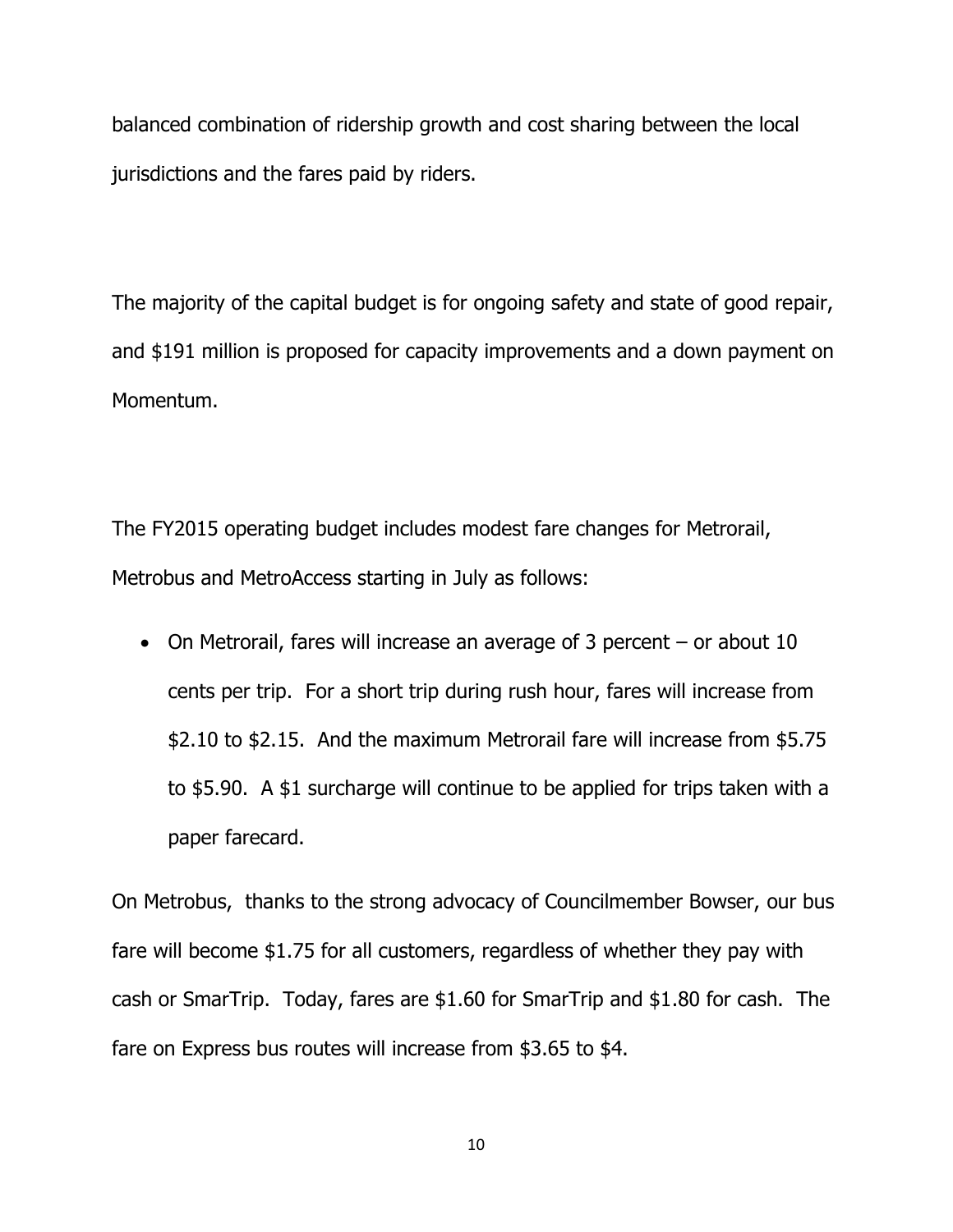balanced combination of ridership growth and cost sharing between the local jurisdictions and the fares paid by riders.

The majority of the capital budget is for ongoing safety and state of good repair, and \$191 million is proposed for capacity improvements and a down payment on Momentum.

The FY2015 operating budget includes modest fare changes for Metrorail, Metrobus and MetroAccess starting in July as follows:

 On Metrorail, fares will increase an average of 3 percent – or about 10 cents per trip. For a short trip during rush hour, fares will increase from \$2.10 to \$2.15. And the maximum Metrorail fare will increase from \$5.75 to \$5.90. A \$1 surcharge will continue to be applied for trips taken with a paper farecard.

On Metrobus, thanks to the strong advocacy of Councilmember Bowser, our bus fare will become \$1.75 for all customers, regardless of whether they pay with cash or SmarTrip. Today, fares are \$1.60 for SmarTrip and \$1.80 for cash. The fare on Express bus routes will increase from \$3.65 to \$4.

10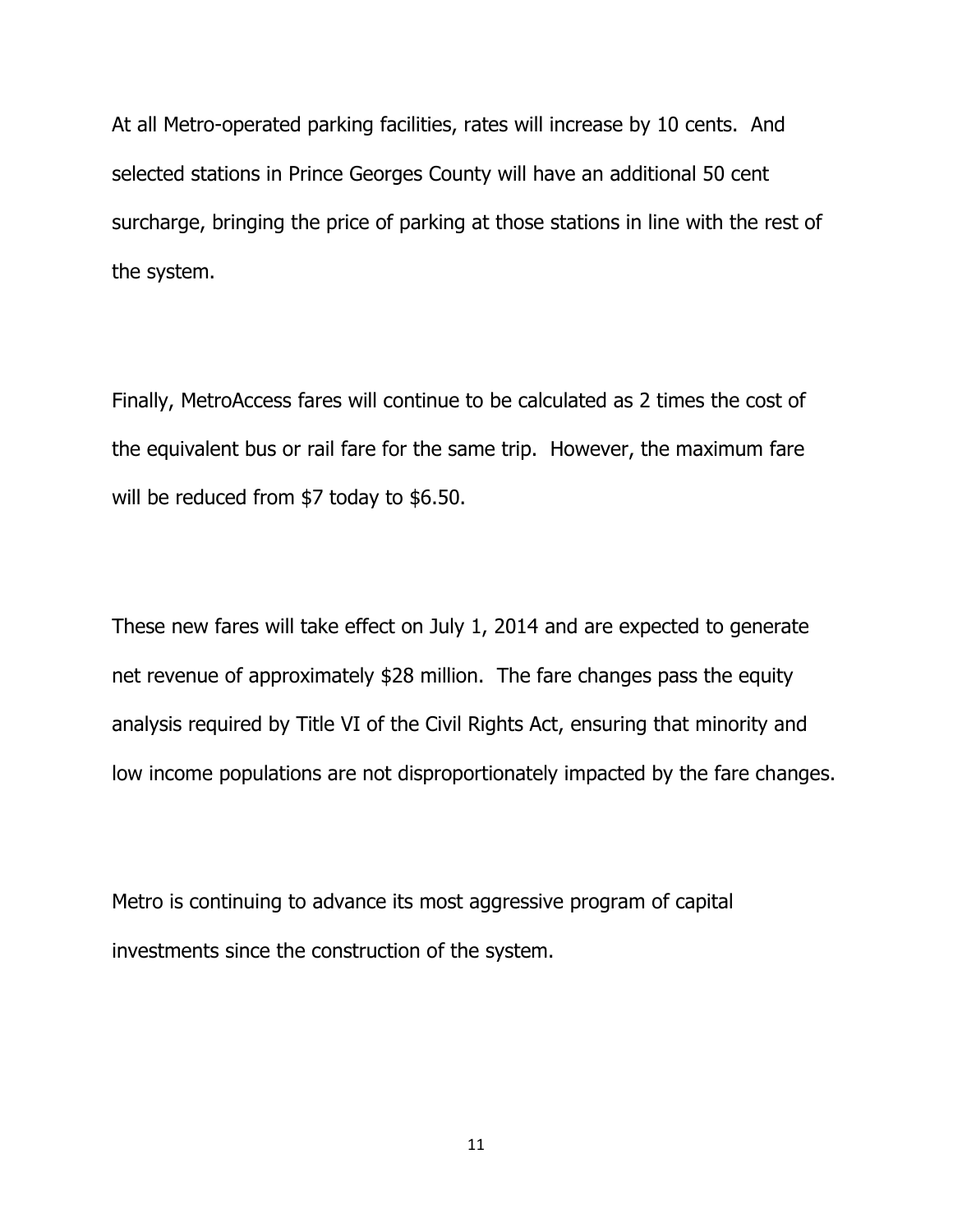At all Metro-operated parking facilities, rates will increase by 10 cents. And selected stations in Prince Georges County will have an additional 50 cent surcharge, bringing the price of parking at those stations in line with the rest of the system.

Finally, MetroAccess fares will continue to be calculated as 2 times the cost of the equivalent bus or rail fare for the same trip. However, the maximum fare will be reduced from \$7 today to \$6.50.

These new fares will take effect on July 1, 2014 and are expected to generate net revenue of approximately \$28 million. The fare changes pass the equity analysis required by Title VI of the Civil Rights Act, ensuring that minority and low income populations are not disproportionately impacted by the fare changes.

Metro is continuing to advance its most aggressive program of capital investments since the construction of the system.

11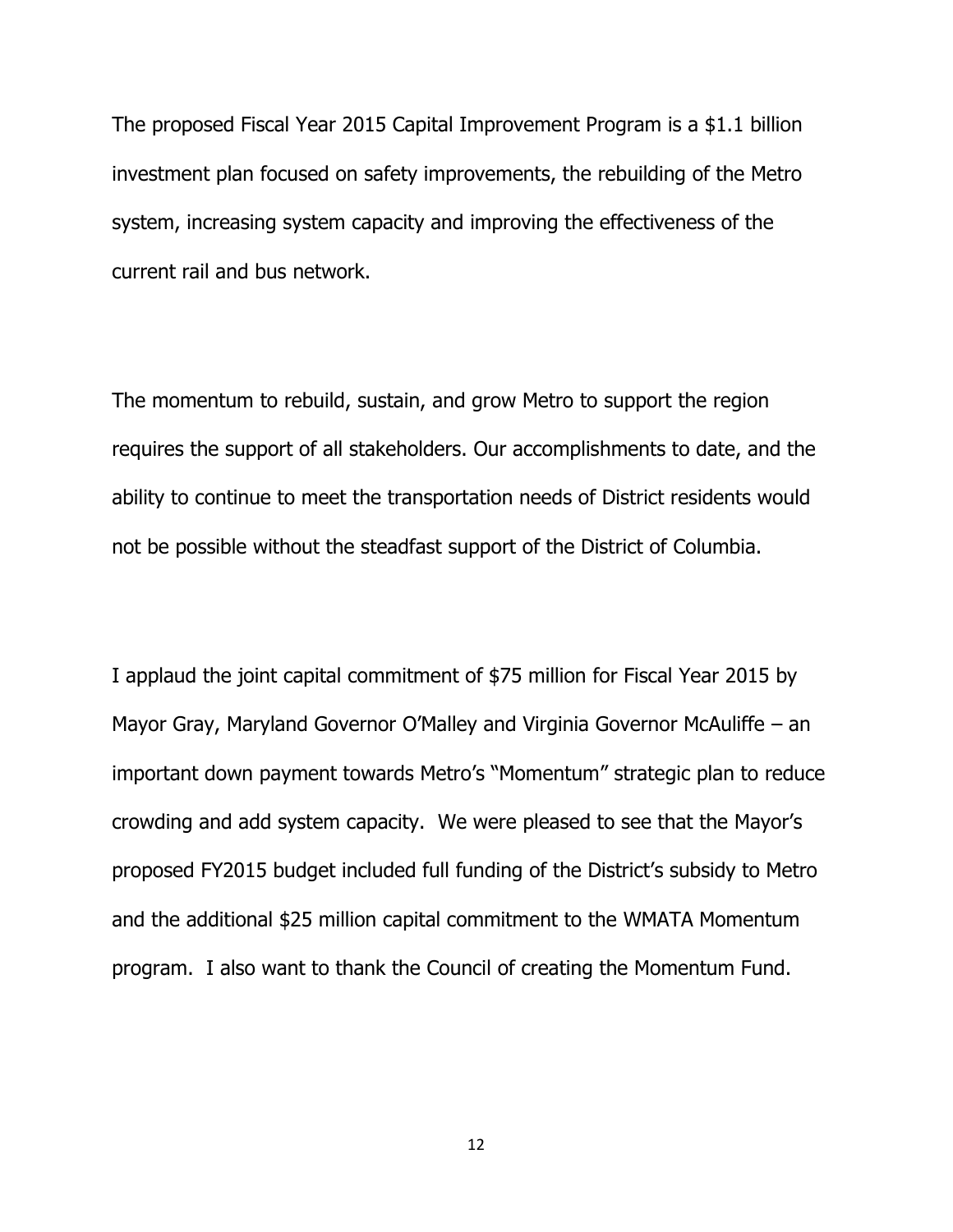The proposed Fiscal Year 2015 Capital Improvement Program is a \$1.1 billion investment plan focused on safety improvements, the rebuilding of the Metro system, increasing system capacity and improving the effectiveness of the current rail and bus network.

The momentum to rebuild, sustain, and grow Metro to support the region requires the support of all stakeholders. Our accomplishments to date, and the ability to continue to meet the transportation needs of District residents would not be possible without the steadfast support of the District of Columbia.

I applaud the joint capital commitment of \$75 million for Fiscal Year 2015 by Mayor Gray, Maryland Governor O'Malley and Virginia Governor McAuliffe – an important down payment towards Metro's "Momentum" strategic plan to reduce crowding and add system capacity. We were pleased to see that the Mayor's proposed FY2015 budget included full funding of the District's subsidy to Metro and the additional \$25 million capital commitment to the WMATA Momentum program. I also want to thank the Council of creating the Momentum Fund.